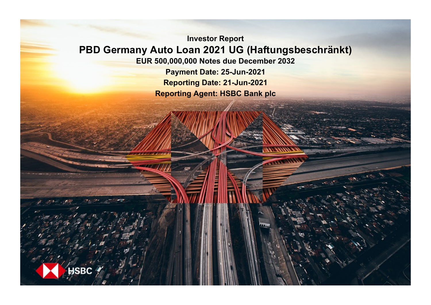**Investor Report PBD Germany Auto Loan 2021 UG (Haftungsbeschränkt) EUR 500,000,000 Notes due December 2032**

**Payment Date: 25-Jun-2021 Reporting Date: 21-Jun-2021 Reporting Agent: HSBC Bank plc**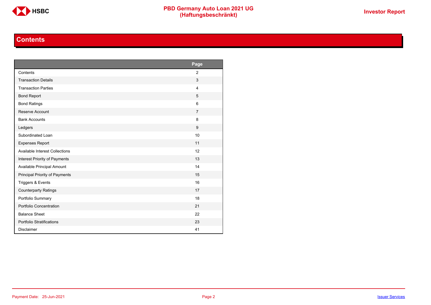

# **Contents**

<span id="page-1-0"></span>

|                                       | Page           |
|---------------------------------------|----------------|
| Contents                              | $\overline{2}$ |
| <b>Transaction Details</b>            | 3              |
| <b>Transaction Parties</b>            | $\overline{4}$ |
| <b>Bond Report</b>                    | 5              |
| <b>Bond Ratings</b>                   | 6              |
| Reserve Account                       | $\overline{7}$ |
| <b>Bank Accounts</b>                  | 8              |
| Ledgers                               | 9              |
| Subordinated Loan                     | 10             |
| <b>Expenses Report</b>                | 11             |
| <b>Available Interest Collections</b> | 12             |
| Interest Priority of Payments         | 13             |
| Available Principal Amount            | 14             |
| Principal Priority of Payments        | 15             |
| Triggers & Events                     | 16             |
| <b>Counterparty Ratings</b>           | 17             |
| Portfolio Summary                     | 18             |
| Portfolio Concentration               | 21             |
| <b>Balance Sheet</b>                  | 22             |
| Portfolio Stratifications             | 23             |
| <b>Disclaimer</b>                     | 41             |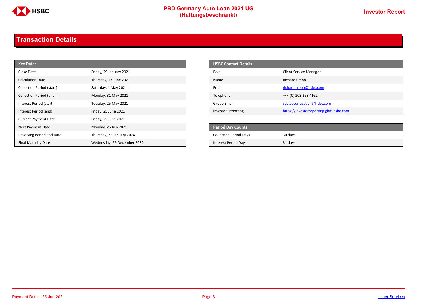

# **PBD Germany Auto Loan 2021 UG**<br>
(Haftungsbeschränkt)<br>
This area of the CHSD CHA (Haftungsbeschränkt)

# <span id="page-2-0"></span>**Transaction Details**

| <b>Key Dates</b>            |                             | <b>HSBC Contact Details</b>   |                                        |
|-----------------------------|-----------------------------|-------------------------------|----------------------------------------|
| Close Date                  | Friday, 29 January 2021     | Role                          | <b>Client Service Manager</b>          |
| <b>Calculation Date</b>     | Thursday, 17 June 2021      | Name                          | <b>Richard Crebo</b>                   |
| Collection Period (start)   | Saturday, 1 May 2021        | Email                         | richard.crebo@hsbc.com                 |
| Collection Period (end)     | Monday, 31 May 2021         | Telephone                     | +44 (0) 203 268 4162                   |
| Interest Period (start)     | Tuesday, 25 May 2021        | <b>Group Email</b>            | ctla.securitisation@hsbc.com           |
| Interest Period (end)       | Friday, 25 June 2021        | <b>Investor Reporting</b>     | https://investorreporting.gbm.hsbc.com |
| <b>Current Payment Date</b> | Friday, 25 June 2021        |                               |                                        |
| Next Payment Date           | Monday, 26 July 2021        | <b>Period Day Counts</b>      |                                        |
| Revolving Period End Date   | Thursday, 25 January 2024   | <b>Collection Period Days</b> | 30 days                                |
| <b>Final Maturity Date</b>  | Wednesday, 29 December 2032 | <b>Interest Period Days</b>   | 31 days                                |

| <b>HSBC Contact Details</b> |                                        |
|-----------------------------|----------------------------------------|
| Role                        | <b>Client Service Manager</b>          |
| Name                        | Richard Crebo                          |
| Email                       | richard.crebo@hsbc.com                 |
| Telephone                   | +44 (0) 203 268 4162                   |
| Group Email                 | ctla.securitisation@hsbc.com           |
| <b>Investor Reporting</b>   | https://investorreporting.gbm.hsbc.com |

| Period Day Counts             |         |
|-------------------------------|---------|
| <b>Collection Period Days</b> | 30 days |
| <b>Interest Period Days</b>   | 31 days |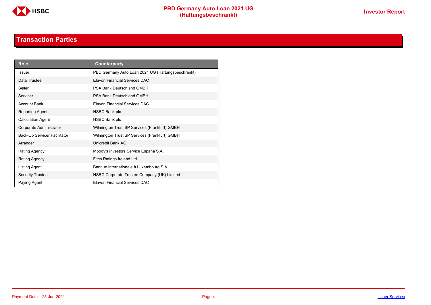

# **Transaction Parties**

<span id="page-3-0"></span>

| <b>Role</b>                  | Counterparty                                       |
|------------------------------|----------------------------------------------------|
| <b>Issuer</b>                | PBD Germany Auto Loan 2021 UG (Haftungsbeschränkt) |
| Data Trustee                 | Elavon Financial Services DAC                      |
| Seller                       | PSA Bank Deutschland GMBH                          |
| Servicer                     | <b>PSA Bank Deutschland GMBH</b>                   |
| <b>Account Bank</b>          | Elavon Financial Services DAC                      |
| Reporting Agent              | HSBC Bank plc                                      |
| <b>Calculation Agent</b>     | <b>HSBC Bank plc</b>                               |
| Corporate Administrator      | Wilmington Trust SP Services (Frankfurt) GMBH      |
| Back-Up Servicer Facilitator | Wilmington Trust SP Services (Frankfurt) GMBH      |
| Arranger                     | Unicredit Bank AG                                  |
| Rating Agency                | Moody's Investors Service España S.A.              |
| <b>Rating Agency</b>         | <b>Fitch Ratings Ireland Ltd</b>                   |
| Listing Agent                | Banque Internationale à Luxembourg S.A.            |
| <b>Security Trustee</b>      | HSBC Corporate Trustee Company (UK) Limited        |
| Paying Agent                 | <b>Flavon Financial Services DAC</b>               |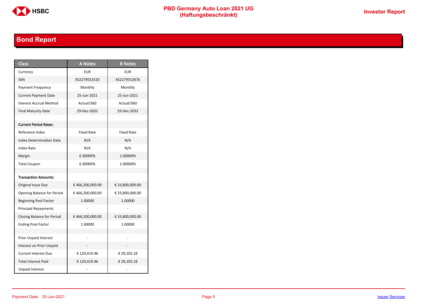

# **PBD Germany Auto Loan 2021 UG**<br>
(Haftungsbeschränkt)<br>
This area of the CHSD CHA (Haftungsbeschränkt)

# <span id="page-4-0"></span>**Bond Report**

| <b>Class</b>                    | <b>A</b> Notes    | <b>B</b> Notes    |
|---------------------------------|-------------------|-------------------|
| Currency                        | <b>EUR</b>        | <b>EUR</b>        |
| <b>ISIN</b>                     | XS2279552520      | XS2279552876      |
| <b>Payment Frequency</b>        | Monthly           | Monthly           |
| <b>Current Payment Date</b>     | 25-Jun-2021       | 25-Jun-2021       |
| <b>Interest Accrual Method</b>  | Actual/360        | Actual/360        |
| <b>Final Maturity Date</b>      | 29-Dec-2032       | 29-Dec-2032       |
|                                 |                   |                   |
| <b>Current Period Rates:</b>    |                   |                   |
| Reference Index                 | <b>Fixed Rate</b> | <b>Fixed Rate</b> |
| <b>Index Determination Date</b> | N/A               | N/A               |
| <b>Index Rate</b>               | N/A               | N/A               |
| Margin                          | 0.30000%          | 1.00000%          |
| <b>Total Coupon</b>             | 0.30000%          | 1.00000%          |
|                                 |                   |                   |
| <b>Transaction Amounts:</b>     |                   |                   |
| Original Issue Size             | €466,200,000.00   | € 33,800,000.00   |
| Opening Balance for Period      | €466,200,000.00   | € 33,800,000.00   |
| <b>Beginning Pool Factor</b>    | 1.00000           | 1.00000           |
| <b>Principal Repayments</b>     |                   |                   |
| Closing Balance for Period      | €466,200,000.00   | € 33,800,000.00   |
| <b>Ending Pool Factor</b>       | 1.00000           | 1.00000           |
|                                 |                   |                   |
| <b>Prior Unpaid Interest</b>    |                   |                   |
| Interest on Prior Unpaid        |                   |                   |
| <b>Current Interest Due</b>     | €120,419.46       | € 29,105.18       |
| <b>Total Interest Paid</b>      | €120,419.46       | € 29,105.18       |
| <b>Unpaid Interest</b>          |                   |                   |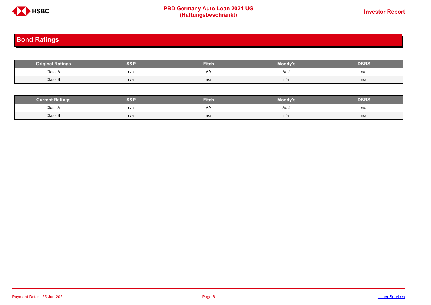

# **PBD Germany Auto Loan 2021 UG**<br>
(Haftungsbeschränkt)<br>
This area of the CHSD CHA (Haftungsbeschränkt)

# <span id="page-5-0"></span>**Bond Ratings**

| <b>Original Ratings</b> | S&P | <b>Fitch</b> | Moody's | <b>DBRS</b> |
|-------------------------|-----|--------------|---------|-------------|
| Class A                 | n/a | AA           | Aa2     | n/a         |
| Class B                 | n/a | n/a          | n/a     | n/a         |

| <b><i>Surrent Ratings</i></b> | 0.91<br>>I≏∃i | <b>Fitch</b> | Moody's | DERS. |
|-------------------------------|---------------|--------------|---------|-------|
| Class A<br>.                  | n/a           | ₩            | Aa2     | n/a   |
| Class B                       | n/a           | n/a          | n/a     | n/a   |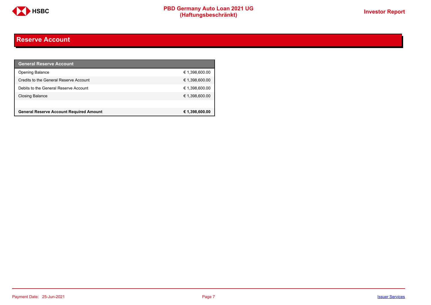

# <span id="page-6-0"></span>**Reserve Account**

| <b>General Reserve Account</b>                 |                |
|------------------------------------------------|----------------|
| <b>Opening Balance</b>                         | € 1,398,600.00 |
| Credits to the General Reserve Account         | € 1,398,600.00 |
| Debits to the General Reserve Account          | € 1,398,600.00 |
| Closing Balance                                | € 1,398,600.00 |
|                                                |                |
| <b>General Reserve Account Required Amount</b> | € 1,398,600.00 |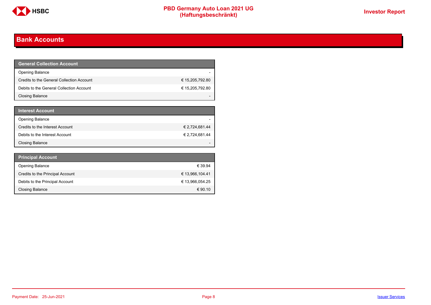

# <span id="page-7-0"></span>**Bank Accounts**

| <b>General Collection Account</b>         |                 |
|-------------------------------------------|-----------------|
| <b>Opening Balance</b>                    |                 |
| Credits to the General Collection Account | € 15,205,792.80 |
| Debits to the General Collection Account  | € 15,205,792.80 |
| Closing Balance                           |                 |

| <b>Interest Account</b>         |                |
|---------------------------------|----------------|
| <b>Opening Balance</b>          |                |
| Credits to the Interest Account | € 2,724,681.44 |
| Debits to the Interest Account  | € 2,724,681.44 |
| <b>Closing Balance</b>          |                |

| <b>Principal Account</b>         |                 |
|----------------------------------|-----------------|
| <b>Opening Balance</b>           | € 39.94         |
| Credits to the Principal Account | € 13,966,104.41 |
| Debits to the Principal Account  | € 13,966,054.25 |
| <b>Closing Balance</b>           | € 90.10         |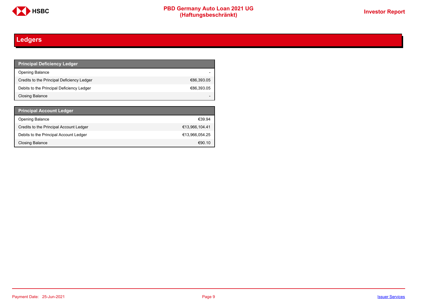

# <span id="page-8-0"></span>**Ledgers**

| <b>Principal Deficiency Ledger</b>         |            |
|--------------------------------------------|------------|
| Opening Balance                            |            |
| Credits to the Principal Deficiency Ledger | €86,393.05 |
| Debits to the Principal Deficiency Ledger  | €86,393.05 |
| Closing Balance                            |            |

| <b>Principal Account Ledger</b>         |                |
|-----------------------------------------|----------------|
| <b>Opening Balance</b>                  | €39.94         |
| Credits to the Principal Account Ledger | €13,966,104.41 |
| Debits to the Principal Account Ledger  | €13.966.054.25 |
| Closing Balance                         | €90.10         |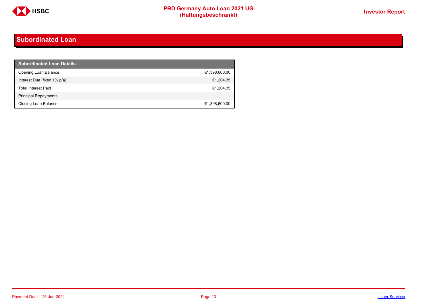

# <span id="page-9-0"></span>**Subordinated Loan**

| <b>Subordinated Loan Details</b> |               |
|----------------------------------|---------------|
| Opening Loan Balance             | €1,398,600.00 |
| Interest Due (fixed 1% p/a)      | €1,204.35     |
| <b>Total Interest Paid</b>       | €1,204.35     |
| <b>Principal Repayments</b>      |               |
| Closing Loan Balance             | €1,398,600.00 |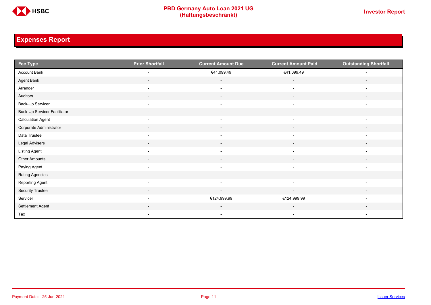

# <span id="page-10-0"></span>**Expenses Report**

| Fee Type                     | <b>Prior Shortfall</b>   | <b>Current Amount Due</b> | <b>Current Amount Paid</b> | <b>Outstanding Shortfall</b> |
|------------------------------|--------------------------|---------------------------|----------------------------|------------------------------|
| Account Bank                 | $\overline{\phantom{a}}$ | €41,099.49                | €41,099.49                 | $\overline{\phantom{a}}$     |
| Agent Bank                   | $\overline{\phantom{a}}$ | $\overline{\phantom{a}}$  | $\overline{\phantom{a}}$   | $\overline{\phantom{a}}$     |
| Arranger                     | $\overline{\phantom{a}}$ | $\overline{\phantom{a}}$  | $\overline{\phantom{a}}$   | $\overline{\phantom{a}}$     |
| Auditors                     | $\overline{\phantom{a}}$ | $\sim$                    | $\sim$                     | $\overline{\phantom{a}}$     |
| Back-Up Servicer             | $\overline{\phantom{a}}$ | $\overline{\phantom{a}}$  | $\overline{\phantom{a}}$   | $\overline{\phantom{a}}$     |
| Back-Up Servicer Facilitator | $\overline{\phantom{a}}$ | $\overline{\phantom{a}}$  | $\overline{\phantom{a}}$   | $\overline{\phantom{a}}$     |
| <b>Calculation Agent</b>     | $\overline{\phantom{a}}$ | $\overline{\phantom{a}}$  | $\overline{\phantom{a}}$   | $\overline{\phantom{a}}$     |
| Corporate Administrator      | $\overline{\phantom{a}}$ | $\sim$                    | $\sim$                     | $\overline{\phantom{a}}$     |
| Data Trustee                 | $\overline{\phantom{a}}$ | $\overline{\phantom{a}}$  | $\overline{\phantom{a}}$   | $\overline{\phantom{a}}$     |
| Legal Advisers               | $\sim$                   | $\sim$                    | $\sim$                     | $\overline{\phantom{a}}$     |
| Listing Agent                | $\overline{\phantom{a}}$ | $\overline{\phantom{a}}$  | $\blacksquare$             | $\overline{\phantom{a}}$     |
| Other Amounts                | $\overline{\phantom{a}}$ | $\overline{\phantom{a}}$  | $\overline{\phantom{a}}$   |                              |
| Paying Agent                 | $\overline{\phantom{a}}$ | $\overline{\phantom{a}}$  | $\overline{\phantom{a}}$   | $\overline{\phantom{a}}$     |
| Rating Agencies              | $\sim$                   | $\sim$                    | $\sim$                     | $\overline{\phantom{a}}$     |
| Reporting Agent              | $\overline{\phantom{a}}$ | $\overline{\phantom{a}}$  | $\overline{\phantom{a}}$   | $\overline{\phantom{a}}$     |
| Security Trustee             | $\sim$                   | $\sim$                    | $\sim$                     | $\sim$                       |
| Servicer                     | $\overline{\phantom{a}}$ | €124,999.99               | €124,999.99                | $\overline{\phantom{a}}$     |
| Settlement Agent             | $\overline{\phantom{0}}$ | $\overline{\phantom{a}}$  | $\overline{\phantom{a}}$   | $\overline{\phantom{a}}$     |
| Tax                          | $\sim$                   | $\sim$                    | $\sim$                     | $\overline{\phantom{a}}$     |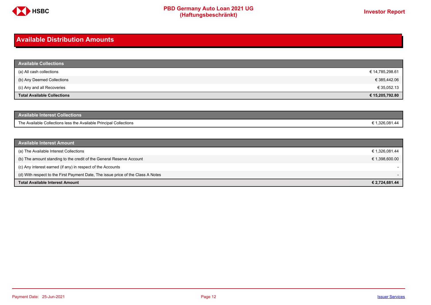

## <span id="page-11-0"></span>**Available Distribution Amounts**

| <b>Available Collections</b>       |                 |
|------------------------------------|-----------------|
| (a) All cash collections           | € 14,785,298.61 |
| (b) Any Deemed Collections         | € 385,442.06    |
| (c) Any and all Recoveries         | € 35,052.13     |
| <b>Total Available Collections</b> | € 15,205,792.80 |

| Available Interest Collections <b>\</b>                            |           |
|--------------------------------------------------------------------|-----------|
| The Available Collections less the Available Principal Collections | 1,326,081 |

| <b>Available Interest Amount</b>                                                 |                |
|----------------------------------------------------------------------------------|----------------|
| (a) The Available Interest Collections                                           | € 1,326,081.44 |
| (b) The amount standing to the credit of the General Reserve Account             | € 1,398,600.00 |
| (c) Any interest earned (if any) in respect of the Accounts                      |                |
| (d) With respect to the First Payment Date, The issue price of the Class A Notes |                |
| <b>Total Available Interest Amount</b>                                           | € 2,724,681.44 |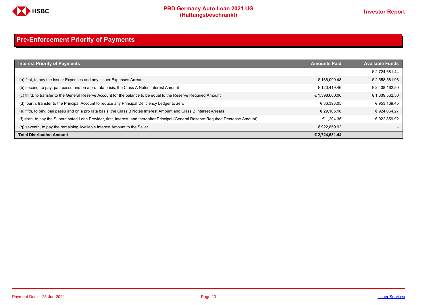

# <span id="page-12-0"></span>**Pre-Enforcement Priority of Payments**

| <b>Interest Priority of Payments</b>                                                                                                   | <b>Amounts Paid</b> | <b>Available Funds</b> |
|----------------------------------------------------------------------------------------------------------------------------------------|---------------------|------------------------|
|                                                                                                                                        |                     | € 2,724,681.44         |
| (a) first, to pay the Issuer Expenses and any Issuer Expenses Arrears                                                                  | € 166.099.48        | € 2,558,581.96         |
| (b) second, to pay, pari passu and on a pro rata basis, the Class A Notes Interest Amount                                              | € 120.419.46        | € 2,438,162.50         |
| (c) third, to transfer to the General Reserve Account for the balance to be equal to the Reserve Required Amount                       | € 1,398,600.00      | € 1,039,562.50         |
| (d) fourth, transfer to the Principal Account to reduce any Principal Deficiency Ledger to zero                                        | € 86.393.05         | € 953,169.45           |
| (e) fifth, to pay, pari passu and on a pro rata basis, the Class B Notes Interest Amount and Class B Interest Arrears                  | € 29.105.18         | € 924,064.27           |
| (f) sixth, to pay the Subordinated Loan Provider, first, Interest, and thereafter Principal (General Reserve Required Decrease Amount) | € 1.204.35          | € 922.859.92           |
| (g) seventh, to pay the remaining Available Interest Amount to the Seller                                                              | € 922.859.92        |                        |
| <b>Total Distribution Amount</b>                                                                                                       | € 2,724,681.44      |                        |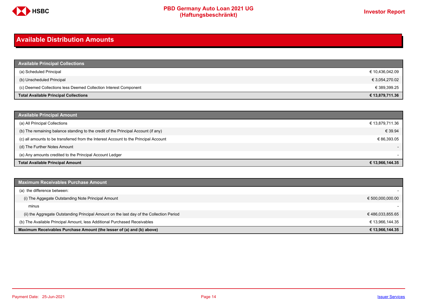

# <span id="page-13-0"></span>**Available Distribution Amounts**

| <b>Available Principal Collections</b>                           |                 |
|------------------------------------------------------------------|-----------------|
| (a) Scheduled Principal                                          | € 10,436,042.09 |
| (b) Unscheduled Principal                                        | € 3,054,270.02  |
| (c) Deemed Collections less Deemed Collection Interest Component | € 389,399.25    |
| <b>Total Available Principal Collections</b>                     | € 13,879,711.36 |

| <b>Available Principal Amount</b>                                                    |                 |
|--------------------------------------------------------------------------------------|-----------------|
| (a) All Principal Collections                                                        | € 13,879,711.36 |
| (b) The remaining balance standing to the credit of the Principal Account (if any)   | € 39.94         |
| (c) all amounts to be transferred from the Interest Account to the Principal Account | € 86,393.05     |
| (d) The Further Notes Amount                                                         | $-$             |
| (e) Any amounts credited to the Principal Account Ledger                             |                 |
| <b>Total Available Principal Amount</b>                                              | € 13,966,144.35 |

| <b>Maximum Receivables Purchase Amount</b>                                               |                  |
|------------------------------------------------------------------------------------------|------------------|
| (a) the difference between:                                                              |                  |
| (i) The Aggegate Outstanding Note Principal Amount                                       | € 500,000,000.00 |
| minus                                                                                    |                  |
| (ii) the Aggregate Outstanding Principal Amount on the last day of the Collection Period | €486,033,855.65  |
| (b) The Available Principal Amount, less Additional Purchased Receivables                | € 13,966,144.35  |
| Maximum Receivables Purchase Amount (the lesser of (a) and (b) above)                    | € 13,966,144.35  |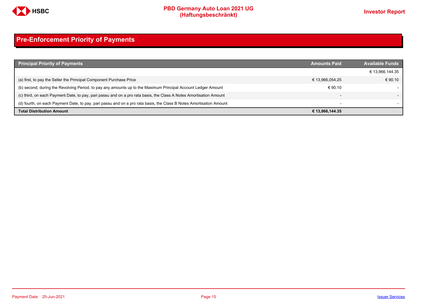

# <span id="page-14-0"></span>**Pre-Enforcement Priority of Payments**

| <b>Principal Priority of Payments</b>                                                                               | <b>Amounts Paid</b>      | <b>Available Funds</b> |
|---------------------------------------------------------------------------------------------------------------------|--------------------------|------------------------|
|                                                                                                                     |                          | € 13,966,144.35        |
| (a) first, to pay the Seller the Principal Component Purchase Price                                                 | € 13,966,054.25          | € 90.10                |
| (b) second, during the Revolving Period, to pay any amounts up to the Maximum Principal Account Ledger Amount       | € 90.10                  |                        |
| (c) third, on each Payment Date, to pay, pari passu and on a pro rata basis, the Class A Notes Amortisation Amount  |                          |                        |
| (d) fourth, on each Payment Date, to pay, pari passu and on a pro rata basis, the Class B Notes Amortisation Amount | $\overline{\phantom{0}}$ |                        |
| <b>Total Distribution Amount</b>                                                                                    | € 13,966,144.35          |                        |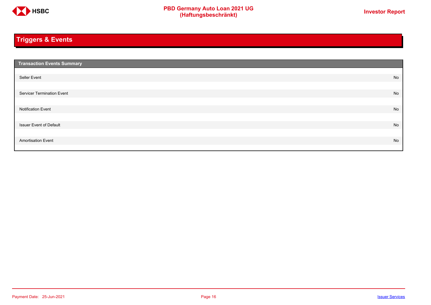

# <span id="page-15-0"></span>**Triggers & Events**

| <b>Transaction Events Summary</b> |    |
|-----------------------------------|----|
|                                   |    |
| Seller Event                      | No |
|                                   |    |
| Servicer Termination Event        | No |
|                                   |    |
| <b>Notification Event</b>         | No |
|                                   |    |
| <b>Issuer Event of Default</b>    | No |
|                                   |    |
| <b>Amortisation Event</b>         | No |
|                                   |    |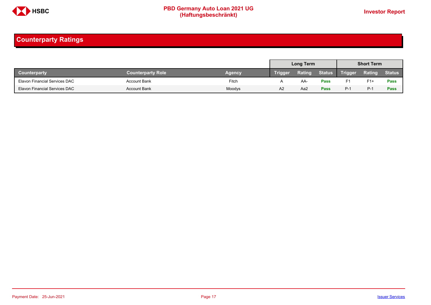

# <span id="page-16-0"></span>**Counterparty Ratings**

|                                      |                          |               |                | Long Term |               |                | <b>Short Term</b> |               |
|--------------------------------------|--------------------------|---------------|----------------|-----------|---------------|----------------|-------------------|---------------|
| <b>Counterparty</b>                  | <b>Counterparty Role</b> | <b>Agency</b> | <b>Trigger</b> | Rating    | <b>Status</b> | <b>Trigger</b> | Rating            | <b>Status</b> |
| Elavon Financial Services DAC        | <b>Account Bank</b>      | Fitch         |                | AA.       | <b>Pass</b>   | F1             | $F1+$             | Pass          |
| <b>Elavon Financial Services DAC</b> | <b>Account Bank</b>      | Moodys        | A <sub>2</sub> | Aa2       | Pass          | $P-1$          | $P-1$             | Pass          |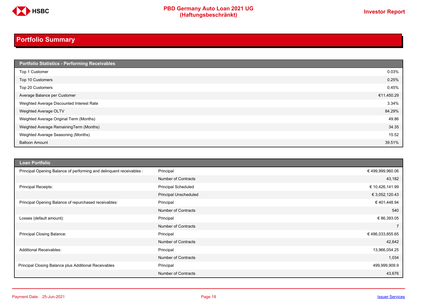

# <span id="page-17-0"></span>**Portfolio Summary**

| Portfolio Statistics - Performing Receivables |            |
|-----------------------------------------------|------------|
| Top 1 Customer                                | 0.03%      |
| Top 10 Customers                              | 0.25%      |
| Top 20 Customers                              | 0.45%      |
| Average Balance per Customer                  | €11,450.29 |
| Weighted Average Discounted Interest Rate     | 3.34%      |
| Weighted Average OLTV                         | 84.29%     |
| Weighted Average Original Term (Months)       | 49.86      |
| Weighted Average RemainingTerm (Months)       | 34.35      |
| Weighted Average Seasoning (Months)           | 15.52      |
| <b>Balloon Amount</b>                         | 39.51%     |

| <b>Loan Portfolio</b>                                                |                              |                 |
|----------------------------------------------------------------------|------------------------------|-----------------|
| Principal Opening Balance of performing and delinquent receivables : | Principal                    | €499,999,960.06 |
|                                                                      | <b>Number of Contracts</b>   | 43,182          |
| Principal Receipts:                                                  | <b>Principal Scheduled</b>   | € 10,426,141.99 |
|                                                                      | <b>Principal Unscheduled</b> | € 3,052,120.43  |
| Principal Opening Balance of repurchased receivables:                | Principal                    | €401,448.94     |
|                                                                      | <b>Number of Contracts</b>   | 540             |
| Losses (default amount):                                             | Principal                    | € 86,393.05     |
|                                                                      | <b>Number of Contracts</b>   |                 |
| Principal Closing Balance:                                           | Principal                    | €486,033,855.65 |
|                                                                      | <b>Number of Contracts</b>   | 42,642          |
| <b>Additional Receivables:</b>                                       | Principal                    | 13,966,054.25   |
|                                                                      | <b>Number of Contracts</b>   | 1,034           |
| Principal Closing Balance plus Additional Receivables                | Principal                    | 499,999,909.9   |
|                                                                      | <b>Number of Contracts</b>   | 43,676          |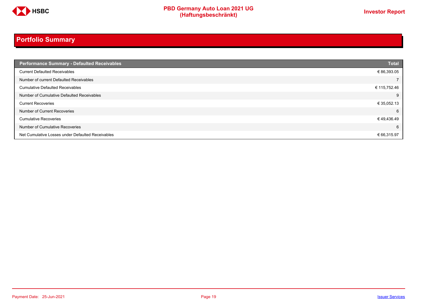

# **Portfolio Summary**

| <b>Performance Summary - Defaulted Receivables</b> | <b>Total</b> |
|----------------------------------------------------|--------------|
| <b>Current Defaulted Receivables</b>               | € 86,393.05  |
| Number of current Defaulted Receivables            |              |
| <b>Cumulative Defaulted Receivables</b>            | € 115,752.46 |
| Number of Cumulative Defaulted Receivables         | 9            |
| <b>Current Recoveries</b>                          | € 35,052.13  |
| Number of Current Recoveries                       | 6            |
| <b>Cumulative Recoveries</b>                       | €49,436.49   |
| Number of Cumulative Recoveries                    | 6            |
| Net Cumulative Losses under Defaulted Receivables  | € 66,315.97  |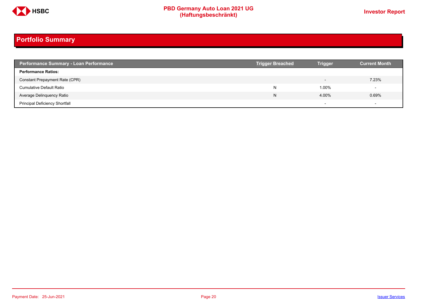

# **Portfolio Summary**

| <b>Performance Summary - Loan Performance</b> | <b>Trigger Breached</b> | <b>Trigger</b>           | <b>Current Month</b> |
|-----------------------------------------------|-------------------------|--------------------------|----------------------|
| <b>Performance Ratios:</b>                    |                         |                          |                      |
| Constant Prepayment Rate (CPR)                |                         | $\overline{\phantom{0}}$ | 7.23%                |
| <b>Cumulative Default Ratio</b>               | N                       | 1.00%                    |                      |
| Average Delinquency Ratio                     | N                       | 4.00%                    | 0.69%                |
| <b>Principal Deficiency Shortfall</b>         |                         | $\overline{\phantom{0}}$ |                      |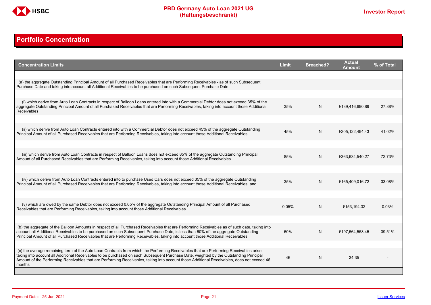

# <span id="page-20-0"></span>**Portfolio Concentration**

| <b>Concentration Limits</b>                                                                                                                                                                                                                                                                                                                                                                                                              | <b>Limit</b> | <b>Breached?</b> | <b>Actual</b><br>Amount | % of Total |
|------------------------------------------------------------------------------------------------------------------------------------------------------------------------------------------------------------------------------------------------------------------------------------------------------------------------------------------------------------------------------------------------------------------------------------------|--------------|------------------|-------------------------|------------|
| (a) the aggregate Outstanding Principal Amount of all Purchased Receivables that are Performing Receivables - as of such Subsequent<br>Purchase Date and taking into account all Additional Receivables to be purchased on such Subsequent Purchase Date:                                                                                                                                                                                |              |                  |                         |            |
| (i) which derive from Auto Loan Contracts in respect of Balloon Loans entered into with a Commercial Debtor does not exceed 35% of the                                                                                                                                                                                                                                                                                                   |              |                  |                         |            |
| aggregate Outstanding Principal Amount of all Purchased Receivables that are Performing Receivables, taking into account those Additional<br><b>Receivables</b>                                                                                                                                                                                                                                                                          | 35%          | N                | €139.416.690.89         | 27.88%     |
|                                                                                                                                                                                                                                                                                                                                                                                                                                          |              |                  |                         |            |
| (ii) which derive from Auto Loan Contracts entered into with a Commercial Debtor does not exceed 45% of the aggregate Outstanding<br>Principal Amount of all Purchased Receivables that are Performing Receivables, taking into account those Additional Receivables                                                                                                                                                                     | 45%          | N.               | €205,122,494.43         | 41.02%     |
|                                                                                                                                                                                                                                                                                                                                                                                                                                          |              |                  |                         |            |
| (iii) which derive from Auto Loan Contracts in respect of Balloon Loans does not exceed 85% of the aggregate Outstanding Principal<br>Amount of all Purchased Receivables that are Performing Receivables, taking into account those Additional Receivables                                                                                                                                                                              | 85%          | N                | €363,634,540.27         | 72.73%     |
|                                                                                                                                                                                                                                                                                                                                                                                                                                          |              |                  |                         |            |
| (iv) which derive from Auto Loan Contracts entered into to purchase Used Cars does not exceed 35% of the aggregate Outstanding<br>Principal Amount of all Purchased Receivables that are Performing Receivables, taking into account those Additional Receivables; and                                                                                                                                                                   | 35%          | N                | €165.409.016.72         | 33.08%     |
|                                                                                                                                                                                                                                                                                                                                                                                                                                          |              |                  |                         |            |
| (v) which are owed by the same Debtor does not exceed 0.05% of the aggregate Outstanding Principal Amount of all Purchased<br>Receivables that are Performing Receivables, taking into account those Additional Receivables                                                                                                                                                                                                              | 0.05%        | N                | €153.194.32             | 0.03%      |
|                                                                                                                                                                                                                                                                                                                                                                                                                                          |              |                  |                         |            |
| (b) the aggregate of the Balloon Amounts in respect of all Purchased Receivables that are Performing Receivables as of such date, taking into<br>account all Additional Receivables to be purchased on such Subsequent Purchase Date, is less than 60% of the aggregate Outstanding<br>Principal Amount of all Purchased Receivables that are Performing Receivables, taking into account those Additional Receivables                   | 60%          | N                | €197,564,558.45         | 39.51%     |
|                                                                                                                                                                                                                                                                                                                                                                                                                                          |              |                  |                         |            |
| (c) the average remaining term of the Auto Loan Contracts from which the Performing Receivables that are Performing Receivables arise.<br>taking into account all Additional Receivables to be purchased on such Subsequent Purchase Date, weighted by the Outstanding Principal<br>Amount of the Performing Receivables that are Performing Receivables, taking into account those Additional Receivables, does not exceed 46<br>months | 46           | N                | 34.35                   |            |
|                                                                                                                                                                                                                                                                                                                                                                                                                                          |              |                  |                         |            |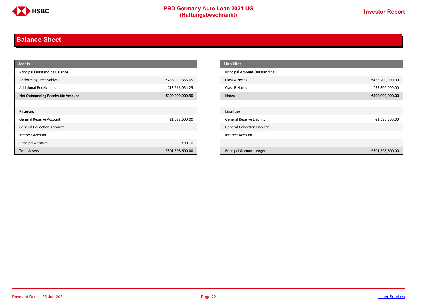

# <span id="page-21-0"></span>**Balance Sheet**

| <b>Assets</b>                            |                          | <b>Liabilities</b>                                 |
|------------------------------------------|--------------------------|----------------------------------------------------|
| <b>Principal Outstanding Balance</b>     |                          | <b>Principal Amount Outstanding</b>                |
| Performing Receivables                   | €486,033,855.65          | €466,200,000.00<br>Class A Notes                   |
| <b>Additional Receivables</b>            | €13,966,054.25           | €33,800,000.00<br>Class B Notes                    |
| <b>Net Outstanding Receivable Amount</b> | €499,999,909.90          | €500,000,000.00<br><b>Notes</b>                    |
|                                          |                          |                                                    |
| Reserves                                 |                          | Liabilities                                        |
| General Reserve Account                  | €1,398,600.00            | <b>General Reserve Liability</b><br>€1,398,600.00  |
| <b>General Collection Account</b>        | $\overline{\phantom{a}}$ | <b>General Collection Liability</b>                |
| Interest Account                         | $\overline{\phantom{a}}$ | Interest Account                                   |
| Principal Account                        | €90.10                   |                                                    |
| <b>Total Assets</b>                      | €501,398,600.00          | <b>Principal Account Ledger</b><br>€501,398,600.00 |

| <b>Liabilities</b>                  |                 |
|-------------------------------------|-----------------|
| <b>Principal Amount Outstanding</b> |                 |
| Class A Notes                       | €466,200,000.00 |
| Class B Notes                       | €33,800,000.00  |
| <b>Notes</b>                        | €500,000,000.00 |
|                                     |                 |
| <b>Liabilities</b>                  |                 |
| General Reserve Liability           | €1,398,600.00   |
| <b>General Collection Liability</b> |                 |
| <b>Interest Account</b>             |                 |
|                                     |                 |
| <b>Principal Account Ledger</b>     | €501,398,600.00 |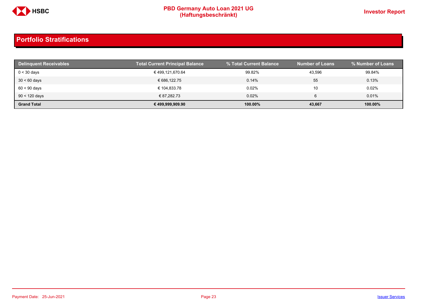

| Delinquent Receivables | <b>Total Current Principal Balance</b> | % Total Current Balance | <b>Number of Loans</b> | % Number of Loans |
|------------------------|----------------------------------------|-------------------------|------------------------|-------------------|
| $0 < 30$ days          | € 499,121,670.64                       | 99.82%                  | 43.596                 | 99.84%            |
| $30 < 60$ days         | € 686.122.75                           | 0.14%                   | 55                     | 0.13%             |
| $60 < 90$ days         | € 104.833.78                           | 0.02%                   | 10                     | 0.02%             |
| $90 < 120$ days        | € 87.282.73                            | 0.02%                   | 6                      | 0.01%             |
| <b>Grand Total</b>     | € 499,999,909.90                       | 100.00%                 | 43,667                 | 100.00%           |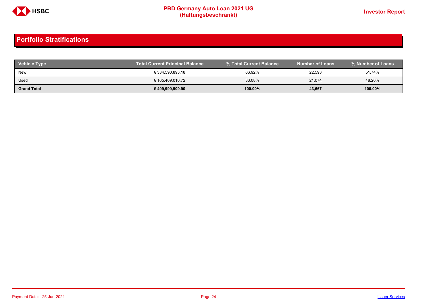

| <b>Vehicle Type</b> | <b>Total Current Principal Balance</b> | % Total Current Balance | <b>Number of Loans</b> | % Number of Loans |
|---------------------|----------------------------------------|-------------------------|------------------------|-------------------|
| New                 | € 334,590,893.18                       | 66.92%                  | 22,593                 | 51.74%            |
| Used                | € 165,409,016.72                       | 33.08%                  | 21,074                 | 48.26%            |
| <b>Grand Total</b>  | € 499,999,909.90                       | 100.00%                 | 43,667                 | 100.00%           |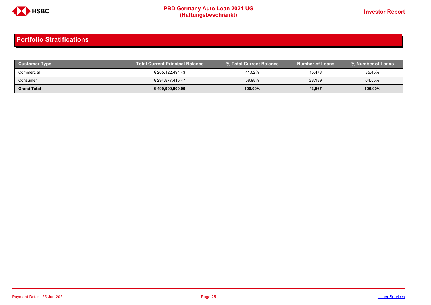

| <b>Customer Type</b> | <b>Total Current Principal Balance</b> |            | <b>Number of Loans</b> | % Number of Loans |
|----------------------|----------------------------------------|------------|------------------------|-------------------|
| Commercial           | € 205.122.494.43                       | 41.02%     | 15,478                 | 35.45%            |
| Consumer             | € 294,877,415.47                       | 58.98%     | 28.189                 | 64.55%            |
| <b>Grand Total</b>   | € 499,999,909.90                       | $100.00\%$ | 43,667                 | 100.00%           |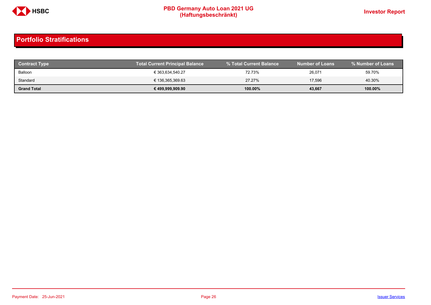

| <b>Contract Type</b> | <b>Total Current Principal Balance</b> |            | <b>Number of Loans</b> | % Number of Loans |
|----------------------|----------------------------------------|------------|------------------------|-------------------|
| Balloon              | € 363.634.540.27                       | 72.73%     | 26,071                 | 59.70%            |
| Standard             | € 136,365,369.63                       | 27.27%     | 17,596                 | 40.30%            |
| <b>Grand Total</b>   | € 499,999,909.90                       | $100.00\%$ | 43,667                 | 100.00%           |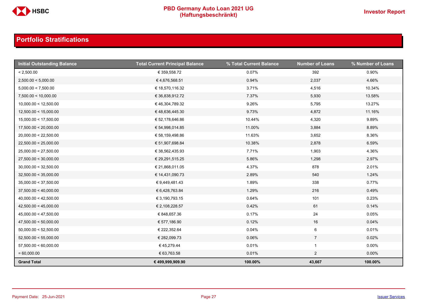

| <b>Initial Outstanding Balance</b> | <b>Total Current Principal Balance</b> | % Total Current Balance | <b>Number of Loans</b> | % Number of Loans |
|------------------------------------|----------------------------------------|-------------------------|------------------------|-------------------|
| < 2,500.00                         | € 359,558.72                           | 0.07%                   | 392                    | 0.90%             |
| 2,500.00 < 5,000.00                | €4,676,568.51                          | 0.94%                   | 2,037                  | 4.66%             |
| 5,000.00 < 7,500.00                | € 18,570,116.32                        | 3.71%                   | 4,516                  | 10.34%            |
| 7,500.00 < 10,000.00               | € 36,838,912.72                        | 7.37%                   | 5,930                  | 13.58%            |
| 10,000.00 < 12,500.00              | € 46,304,789.32                        | 9.26%                   | 5,795                  | 13.27%            |
| 12,500.00 < 15,000.00              | €48,636,445.30                         | 9.73%                   | 4,872                  | 11.16%            |
| 15,000.00 < 17,500.00              | € 52,178,646.86                        | 10.44%                  | 4,320                  | 9.89%             |
| 17,500.00 < 20,000.00              | € 54,998,014.85                        | 11.00%                  | 3,884                  | 8.89%             |
| 20,000.00 < 22,500.00              | € 58,159,498.86                        | 11.63%                  | 3,652                  | 8.36%             |
| 22,500.00 < 25,000.00              | € 51,907,698.84                        | 10.38%                  | 2,878                  | 6.59%             |
| 25,000.00 < 27,500.00              | € 38,562,435.93                        | 7.71%                   | 1,903                  | 4.36%             |
| 27,500.00 < 30,000.00              | € 29,291,515.25                        | 5.86%                   | 1,298                  | 2.97%             |
| 30,000.00 < 32,500.00              | € 21,868,011.05                        | 4.37%                   | 878                    | 2.01%             |
| 32,500.00 < 35,000.00              | € 14,431,090.73                        | 2.89%                   | 540                    | 1.24%             |
| 35,000.00 < 37,500.00              | € 9,449,481.43                         | 1.89%                   | 338                    | 0.77%             |
| 37,500.00 < 40,000.00              | € 6,428,763.84                         | 1.29%                   | 216                    | 0.49%             |
| 40,000.00 < 42,500.00              | € 3,190,793.15                         | 0.64%                   | 101                    | 0.23%             |
| 42,500.00 < 45,000.00              | € 2,108,228.57                         | 0.42%                   | 61                     | 0.14%             |
| 45,000.00 < 47,500.00              | € 848,657.36                           | 0.17%                   | 24                     | 0.05%             |
| 47,500.00 < 50,000.00              | € 577,186.90                           | 0.12%                   | 16                     | 0.04%             |
| 50,000.00 < 52,500.00              | € 222,352.64                           | 0.04%                   | $6\phantom{.}6$        | 0.01%             |
| 52,500.00 < 55,000.00              | € 282,099.73                           | 0.06%                   | $\overline{7}$         | 0.02%             |
| 57,500.00 < 60,000.00              | € 45,279.44                            | 0.01%                   | $\mathbf{1}$           | $0.00\%$          |
| $= 60,000.00$                      | € 63,763.58                            | 0.01%                   | $\overline{2}$         | $0.00\%$          |
| <b>Grand Total</b>                 | € 499,999,909.90                       | 100.00%                 | 43,667                 | 100.00%           |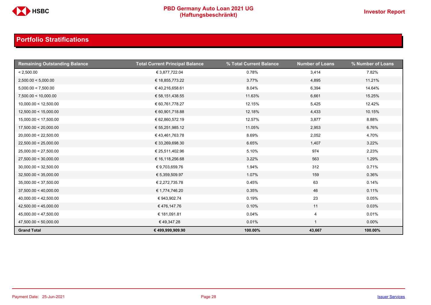

| <b>Remaining Outstanding Balance</b> | <b>Total Current Principal Balance</b> | % Total Current Balance | <b>Number of Loans</b>  | % Number of Loans |
|--------------------------------------|----------------------------------------|-------------------------|-------------------------|-------------------|
| < 2,500.00                           | € 3,877,722.04                         | 0.78%                   | 3,414                   | 7.82%             |
| 2,500.00 < 5,000.00                  | € 18,855,773.22                        | 3.77%                   | 4,895                   | 11.21%            |
| 5,000.00 < 7,500.00                  | €40,216,658.61                         | 8.04%                   | 6,394                   | 14.64%            |
| 7,500.00 < 10,000.00                 | € 58,151,438.55                        | 11.63%                  | 6,661                   | 15.25%            |
| 10,000.00 < 12,500.00                | € 60,761,778.27                        | 12.15%                  | 5,425                   | 12.42%            |
| 12,500.00 < 15,000.00                | € 60,901,718.88                        | 12.18%                  | 4,433                   | 10.15%            |
| 15,000.00 < 17,500.00                | € 62,860,572.19                        | 12.57%                  | 3,877                   | 8.88%             |
| 17,500.00 < 20,000.00                | € 55,251,985.12                        | 11.05%                  | 2,953                   | 6.76%             |
| 20,000.00 < 22,500.00                | €43,461,763.78                         | 8.69%                   | 2,052                   | 4.70%             |
| 22,500.00 < 25,000.00                | € 33,269,698.30                        | 6.65%                   | 1,407                   | 3.22%             |
| 25,000.00 < 27,500.00                | € 25,511,402.96                        | 5.10%                   | 974                     | 2.23%             |
| 27,500.00 < 30,000.00                | € 16,118,256.68                        | 3.22%                   | 563                     | 1.29%             |
| 30,000.00 < 32,500.00                | € 9,703,659.76                         | 1.94%                   | 312                     | 0.71%             |
| 32,500.00 < 35,000.00                | € 5,359,509.97                         | 1.07%                   | 159                     | 0.36%             |
| 35,000.00 < 37,500.00                | € 2,272,735.78                         | 0.45%                   | 63                      | 0.14%             |
| 37,500.00 < 40,000.00                | € 1,774,746.20                         | 0.35%                   | 46                      | 0.11%             |
| 40,000.00 < 42,500.00                | € 943,902.74                           | 0.19%                   | 23                      | 0.05%             |
| 42,500.00 < 45,000.00                | €476,147.76                            | 0.10%                   | 11                      | 0.03%             |
| 45,000.00 < 47,500.00                | € 181,091.81                           | 0.04%                   | 4                       | 0.01%             |
| 47,500.00 < 50,000.00                | €49,347.28                             | 0.01%                   | $\overline{\mathbf{1}}$ | $0.00\%$          |
| <b>Grand Total</b>                   | € 499,999,909.90                       | 100.00%                 | 43,667                  | 100.00%           |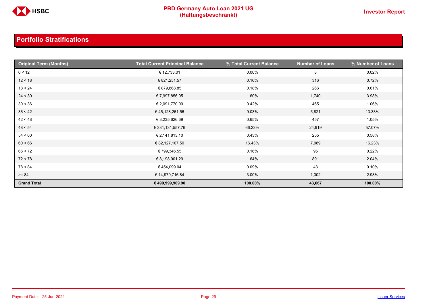

| <b>Original Term (Months)</b> | <b>Total Current Principal Balance</b> | % Total Current Balance | <b>Number of Loans</b> | % Number of Loans |
|-------------------------------|----------------------------------------|-------------------------|------------------------|-------------------|
| 6 < 12                        | € 12,733.01                            | $0.00\%$                | 8                      | 0.02%             |
| 12 < 18                       | € 821,251.57                           | 0.16%                   | 316                    | 0.72%             |
| 18 < 24                       | € 879,868.85                           | 0.18%                   | 266                    | 0.61%             |
| 24 < 30                       | € 7,997,856.05                         | 1.60%                   | 1,740                  | 3.98%             |
| 30 < 36                       | € 2,091,770.09                         | 0.42%                   | 465                    | 1.06%             |
| 36 < 42                       | € 45,128,261.56                        | 9.03%                   | 5,821                  | 13.33%            |
| 42 < 48                       | € 3,235,626.69                         | 0.65%                   | 457                    | 1.05%             |
| 48 < 54                       | € 331,131,557.76                       | 66.23%                  | 24,919                 | 57.07%            |
| 54 < 60                       | € 2,141,813.10                         | 0.43%                   | 255                    | 0.58%             |
| 60 < 66                       | € 82,127,107.50                        | 16.43%                  | 7,089                  | 16.23%            |
| 66 < 72                       | € 799,346.55                           | 0.16%                   | 95                     | 0.22%             |
| 72 < 78                       | € 8,198,901.29                         | 1.64%                   | 891                    | 2.04%             |
| 78 < 84                       | € 454,099.04                           | 0.09%                   | 43                     | 0.10%             |
| $>= 84$                       | € 14,979,716.84                        | 3.00%                   | 1,302                  | 2.98%             |
| <b>Grand Total</b>            | € 499,999,909.90                       | 100.00%                 | 43,667                 | 100.00%           |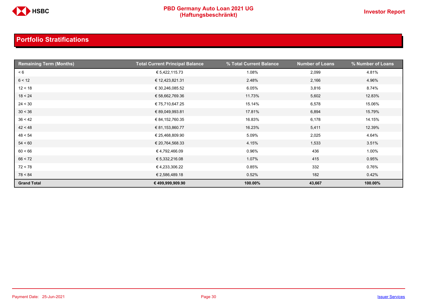

| <b>Remaining Term (Months)</b> | <b>Total Current Principal Balance</b> | % Total Current Balance | <b>Number of Loans</b> | % Number of Loans |
|--------------------------------|----------------------------------------|-------------------------|------------------------|-------------------|
| < 6                            | € 5,422,115.73                         | 1.08%                   | 2,099                  | 4.81%             |
| 6 < 12                         | € 12,423,821.31                        | 2.48%                   | 2,166                  | 4.96%             |
| 12 < 18                        | € 30,246,085.52                        | 6.05%                   | 3,816                  | 8.74%             |
| 18 < 24                        | € 58,662,769.36                        | 11.73%                  | 5,602                  | 12.83%            |
| 24 < 30                        | € 75,710,647.25                        | 15.14%                  | 6,578                  | 15.06%            |
| 30 < 36                        | € 89,049,993.81                        | 17.81%                  | 6,894                  | 15.79%            |
| 36 < 42                        | € 84,152,760.35                        | 16.83%                  | 6,178                  | 14.15%            |
| 42 < 48                        | € 81,153,860.77                        | 16.23%                  | 5,411                  | 12.39%            |
| 48 < 54                        | € 25,468,809.90                        | 5.09%                   | 2,025                  | 4.64%             |
| 54 < 60                        | € 20,764,568.33                        | 4.15%                   | 1,533                  | 3.51%             |
| 60 < 66                        | €4,792,466.09                          | 0.96%                   | 436                    | 1.00%             |
| 66 < 72                        | € 5,332,216.08                         | 1.07%                   | 415                    | 0.95%             |
| 72 < 78                        | €4,233,306.22                          | 0.85%                   | 332                    | 0.76%             |
| 78 < 84                        | € 2,586,489.18                         | 0.52%                   | 182                    | 0.42%             |
| <b>Grand Total</b>             | € 499,999,909.90                       | 100.00%                 | 43,667                 | 100.00%           |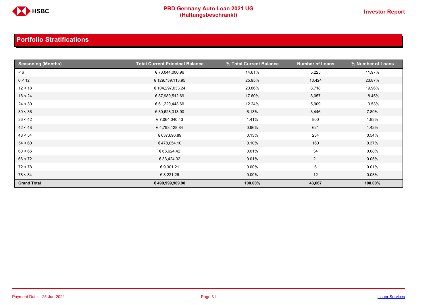

| <b>Seasoning (Months)</b> | <b>Total Current Principal Balance</b> | % Total Current Balance | <b>Number of Loans</b> | % Number of Loans |
|---------------------------|----------------------------------------|-------------------------|------------------------|-------------------|
| < 6                       | € 73,044,000.96                        | 14.61%                  | 5,225                  | 11.97%            |
| 6 < 12                    | € 129,739,113.95                       | 25.95%                  | 10,424                 | 23.87%            |
| 12 < 18                   | € 104,297,033.24                       | 20.86%                  | 8,718                  | 19.96%            |
| 18 < 24                   | € 87,980,512.69                        | 17.60%                  | 8,057                  | 18.45%            |
| 24 < 30                   | € 61,220,443.69                        | 12.24%                  | 5,909                  | 13.53%            |
| 30 < 36                   | € 30,628,313.90                        | 6.13%                   | 3,446                  | 7.89%             |
| 36 < 42                   | €7,064,040.43                          | 1.41%                   | 800                    | 1.83%             |
| 42 < 48                   | € 4,793,128.84                         | 0.96%                   | 621                    | 1.42%             |
| 48 < 54                   | € 637,696.89                           | 0.13%                   | 234                    | 0.54%             |
| 54 < 60                   | €478,054.10                            | 0.10%                   | 160                    | 0.37%             |
| 60 < 66                   | € 66,624.42                            | 0.01%                   | 34                     | 0.08%             |
| 66 < 72                   | € 33,424.32                            | 0.01%                   | 21                     | 0.05%             |
| 72 < 78                   | € 9,301.21                             | $0.00\%$                | 6                      | 0.01%             |
| 78 < 84                   | € 8,221.26                             | $0.00\%$                | 12                     | 0.03%             |
| <b>Grand Total</b>        | € 499,999,909.90                       | 100.00%                 | 43,667                 | 100.00%           |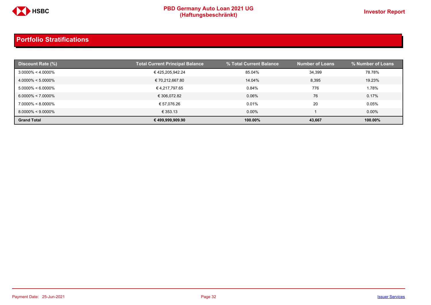

| <b>Discount Rate (%)</b> | <b>Total Current Principal Balance</b> | % Total Current Balance | <b>Number of Loans</b> | % Number of Loans |
|--------------------------|----------------------------------------|-------------------------|------------------------|-------------------|
| $3.0000\% < 4.0000\%$    | €425,205,942.24                        | 85.04%                  | 34.399                 | 78.78%            |
| $4.0000\% < 5.0000\%$    | € 70,212,667.80                        | 14.04%                  | 8,395                  | 19.23%            |
| $5.0000\% < 6.0000\%$    | € 4,217,797.65                         | 0.84%                   | 776                    | 1.78%             |
| $6.0000\% < 7.0000\%$    | € 306,072.82                           | 0.06%                   | 76                     | 0.17%             |
| $7.0000\% < 8.0000\%$    | € 57,076.26                            | 0.01%                   | 20                     | 0.05%             |
| $8.0000\% < 9.0000\%$    | € 353.13                               | $0.00\%$                |                        | $0.00\%$          |
| <b>Grand Total</b>       | € 499,999,909.90                       | 100.00%                 | 43,667                 | 100.00%           |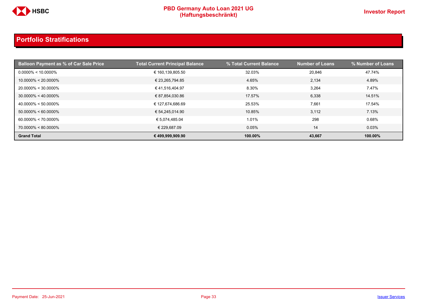

| <b>Balloon Payment as % of Car Sale Price</b> | <b>Total Current Principal Balance</b> | % Total Current Balance | <b>Number of Loans</b> | % Number of Loans |
|-----------------------------------------------|----------------------------------------|-------------------------|------------------------|-------------------|
| $0.0000\% < 10.0000\%$                        | € 160,139,805.50                       | 32.03%                  | 20.846                 | 47.74%            |
| $10.0000\% < 20.0000\%$                       | € 23,265,794.85                        | 4.65%                   | 2,134                  | 4.89%             |
| 20.0000% < 30.0000%                           | €41,516,404.97                         | 8.30%                   | 3,264                  | 7.47%             |
| $30.0000\% < 40.0000\%$                       | € 87,854,030.86                        | 17.57%                  | 6,338                  | 14.51%            |
| $40.0000\% < 50.0000\%$                       | € 127,674,686.69                       | 25.53%                  | 7,661                  | 17.54%            |
| $50.0000\% < 60.0000\%$                       | € 54,245,014.90                        | 10.85%                  | 3,112                  | 7.13%             |
| $60.0000\% < 70.0000\%$                       | € 5,074,485.04                         | 1.01%                   | 298                    | 0.68%             |
| 70.0000% < 80.0000%                           | € 229,687.09                           | 0.05%                   | 14                     | 0.03%             |
| <b>Grand Total</b>                            | € 499,999,909.90                       | 100.00%                 | 43,667                 | 100.00%           |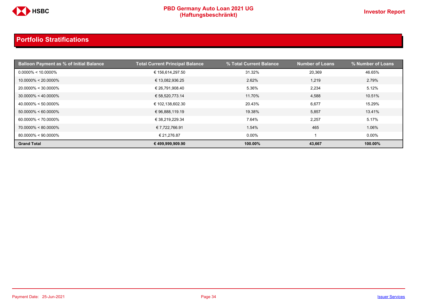

| <b>Balloon Payment as % of Initial Balance</b> | <b>Total Current Principal Balance</b> | % Total Current Balance | <b>Number of Loans</b> | % Number of Loans |
|------------------------------------------------|----------------------------------------|-------------------------|------------------------|-------------------|
| $0.0000\% < 10.0000\%$                         | € 156,614,297.50                       | 31.32%                  | 20,369                 | 46.65%            |
| $10.0000\% < 20.0000\%$                        | € 13,082,936.25                        | 2.62%                   | 1,219                  | 2.79%             |
| 20.0000% < 30.0000%                            | € 26,791,908.40                        | 5.36%                   | 2,234                  | 5.12%             |
| $30.0000\% < 40.0000\%$                        | € 58,520,773.14                        | 11.70%                  | 4,588                  | 10.51%            |
| $40.0000\% < 50.0000\%$                        | € 102,138,602.30                       | 20.43%                  | 6,677                  | 15.29%            |
| $50.0000\% < 60.0000\%$                        | €96,888,119.19                         | 19.38%                  | 5,857                  | 13.41%            |
| $60.0000\% < 70.0000\%$                        | € 38,219,229.34                        | 7.64%                   | 2,257                  | 5.17%             |
| 70.0000% < 80.0000%                            | € 7,722,766.91                         | 1.54%                   | 465                    | 1.06%             |
| $80.0000\% < 90.0000\%$                        | € 21.276.87                            | $0.00\%$                |                        | $0.00\%$          |
| <b>Grand Total</b>                             | € 499,999,909.90                       | 100.00%                 | 43,667                 | 100.00%           |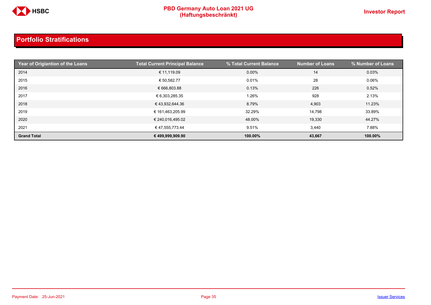

| Year of Origiantion of the Loans | <b>Total Current Principal Balance</b> | % Total Current Balance | <b>Number of Loans</b> | % Number of Loans |
|----------------------------------|----------------------------------------|-------------------------|------------------------|-------------------|
| 2014                             | € 11,119.09                            | 0.00%                   | 14                     | 0.03%             |
| 2015                             | € 50,582.77                            | 0.01%                   | 28                     | 0.06%             |
| 2016                             | € 666,803.88                           | 0.13%                   | 226                    | 0.52%             |
| 2017                             | € 6,303,285.35                         | 1.26%                   | 928                    | 2.13%             |
| 2018                             | € 43,932,644.36                        | 8.79%                   | 4,903                  | 11.23%            |
| 2019                             | € 161,463,205.99                       | 32.29%                  | 14,798                 | 33.89%            |
| 2020                             | € 240,016,495.02                       | 48.00%                  | 19,330                 | 44.27%            |
| 2021                             | € 47,555,773.44                        | 9.51%                   | 3,440                  | 7.88%             |
| <b>Grand Total</b>               | € 499,999,909.90                       | 100.00%                 | 43,667                 | 100.00%           |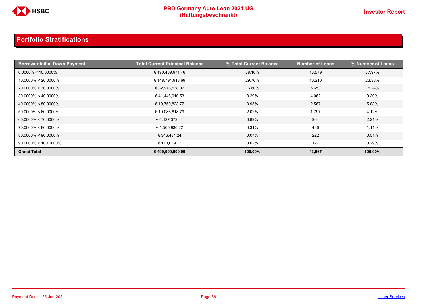

| <b>Borrower Initial Down Payment</b> | <b>Total Current Principal Balance</b> | % Total Current Balance | <b>Number of Loans</b> | % Number of Loans |
|--------------------------------------|----------------------------------------|-------------------------|------------------------|-------------------|
| $0.0000\% < 10.0000\%$               | € 190,489,971.46                       | 38.10%                  | 16,579                 | 37.97%            |
| $10.0000\% < 20.0000\%$              | € 148,794,913.69                       | 29.76%                  | 10,210                 | 23.38%            |
| $20.0000\% < 30.0000\%$              | € 82,978,538.07                        | 16.60%                  | 6,653                  | 15.24%            |
| $30.0000\% < 40.0000\%$              | €41,446,010.53                         | 8.29%                   | 4,062                  | 9.30%             |
| $40.0000\% < 50.0000\%$              | € 19,750,823.77                        | 3.95%                   | 2,567                  | 5.88%             |
| $50.0000\% < 60.0000\%$              | € 10,086,818.79                        | 2.02%                   | 1,797                  | 4.12%             |
| $60.0000\% < 70.0000\%$              | €4,427,379.41                          | 0.89%                   | 964                    | 2.21%             |
| $70.0000\% < 80.0000\%$              | € 1,565,930.22                         | 0.31%                   | 486                    | 1.11%             |
| $80.0000\% < 90.0000\%$              | € 346,484.24                           | 0.07%                   | 222                    | 0.51%             |
| $90.0000\% < 100.0000\%$             | € 113,039.72                           | 0.02%                   | 127                    | 0.29%             |
| <b>Grand Total</b>                   | € 499,999,909.90                       | 100.00%                 | 43,667                 | 100.00%           |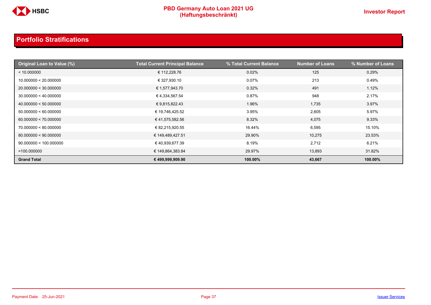

| <b>Original Loan to Value (%)</b> | <b>Total Current Principal Balance</b> | % Total Current Balance | <b>Number of Loans</b> | % Number of Loans |
|-----------------------------------|----------------------------------------|-------------------------|------------------------|-------------------|
| < 10.000000                       | € 112,228.76                           | 0.02%                   | 125                    | 0.29%             |
| 10.000000 < 20.000000             | € 327,930.10                           | 0.07%                   | 213                    | 0.49%             |
| 20.000000 < 30.000000             | € 1,577,943.70                         | 0.32%                   | 491                    | 1.12%             |
| 30.000000 < 40.000000             | € 4,334,567.54                         | 0.87%                   | 948                    | 2.17%             |
| 40.000000 < 50.000000             | € 9,815,822.43                         | 1.96%                   | 1,735                  | 3.97%             |
| 50.000000 < 60.000000             | € 19,746,425.52                        | 3.95%                   | 2,605                  | 5.97%             |
| 60.000000 < 70.000000             | € 41,575,582.56                        | 8.32%                   | 4,075                  | 9.33%             |
| 70.000000 < 80.000000             | € 82,215,920.55                        | 16.44%                  | 6,595                  | 15.10%            |
| 80.000000 < 90.000000             | € 149,489,427.51                       | 29.90%                  | 10,275                 | 23.53%            |
| 90.000000 < 100.000000            | € 40,939,677.39                        | 8.19%                   | 2,712                  | 6.21%             |
| $=100.000000$                     | € 149,864,383.84                       | 29.97%                  | 13,893                 | 31.82%            |
| <b>Grand Total</b>                | € 499,999,909.90                       | 100.00%                 | 43,667                 | 100.00%           |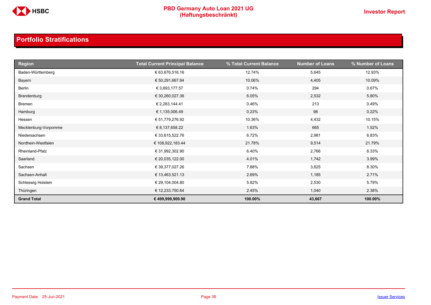

| <b>Region</b>        | <b>Total Current Principal Balance</b> | % Total Current Balance | <b>Number of Loans</b> | % Number of Loans |
|----------------------|----------------------------------------|-------------------------|------------------------|-------------------|
| Baden-Württemberg    | € 63,676,516.16                        | 12.74%                  | 5,645                  | 12.93%            |
| Bayern               | € 50,291,667.84                        | 10.06%                  | 4,405                  | 10.09%            |
| Berlin               | € 3,693,177.57                         | 0.74%                   | 294                    | 0.67%             |
| Brandenburg          | € 30,260,027.36                        | 6.05%                   | 2,532                  | 5.80%             |
| Bremen               | € 2,283,144.41                         | 0.46%                   | 213                    | 0.49%             |
| Hamburg              | € 1,135,006.49                         | 0.23%                   | 98                     | 0.22%             |
| Hessen               | € 51,779,276.92                        | 10.36%                  | 4,432                  | 10.15%            |
| Mecklenburg-Vorpomme | € 8,137,658.22                         | 1.63%                   | 665                    | 1.52%             |
| Niedersachsen        | € 33,615,522.76                        | 6.72%                   | 2,981                  | 6.83%             |
| Nordhein-Westfalen   | € 108,922,183.44                       | 21.78%                  | 9,514                  | 21.79%            |
| Rheinland-Pfalz      | € 31,992,302.90                        | 6.40%                   | 2,766                  | 6.33%             |
| Saarland             | € 20,035,122.00                        | 4.01%                   | 1,742                  | 3.99%             |
| Sachsen              | € 39,377,027.26                        | 7.88%                   | 3,625                  | 8.30%             |
| Sachsen-Anhalt       | € 13,463,521.13                        | 2.69%                   | 1,185                  | 2.71%             |
| Schleswig Holstein   | € 29,104,004.80                        | 5.82%                   | 2,530                  | 5.79%             |
| Thüringen            | € 12,233,750.64                        | 2.45%                   | 1,040                  | 2.38%             |
| <b>Grand Total</b>   | € 499,999,909.90                       | 100.00%                 | 43,667                 | 100.00%           |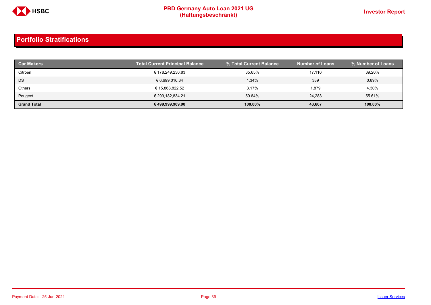

| <b>Car Makers</b>  | Total Current Principal Balance | % Total Current Balance | <b>Number of Loans</b> | │% Number of Loans . |
|--------------------|---------------------------------|-------------------------|------------------------|----------------------|
| Citroen            | € 178,249,236.83                | 35.65%                  | 17.116                 | 39.20%               |
| <b>DS</b>          | € 6,699,016.34                  | 1.34%                   | 389                    | 0.89%                |
| Others             | € 15,868,822.52                 | 3.17%                   | 1,879                  | 4.30%                |
| Peugeot            | € 299,182,834.21                | 59.84%                  | 24.283                 | 55.61%               |
| <b>Grand Total</b> | € 499,999,909.90                | 100.00%                 | 43,667                 | 100.00%              |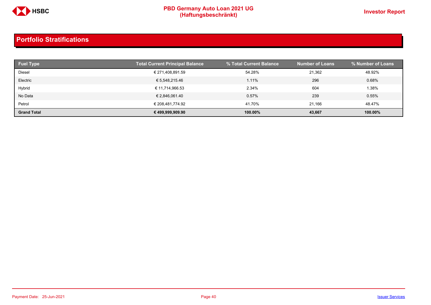

| <b>Fuel Type</b>   | <b>Total Current Principal Balance</b> | % Total Current Balance | <b>Number of Loans</b> | % Number of Loans |
|--------------------|----------------------------------------|-------------------------|------------------------|-------------------|
| Diesel             | € 271,408,891.59                       | 54.28%                  | 21.362                 | 48.92%            |
| Electric           | € 5,548,215.46                         | 1.11%                   | 296                    | 0.68%             |
| Hybrid             | € 11,714,966.53                        | 2.34%                   | 604                    | 1.38%             |
| No Data            | € 2,846,061.40                         | 0.57%                   | 239                    | 0.55%             |
| Petrol             | € 208.481.774.92                       | 41.70%                  | 21.166                 | 48.47%            |
| <b>Grand Total</b> | € 499,999,909.90                       | 100.00%                 | 43,667                 | 100.00%           |